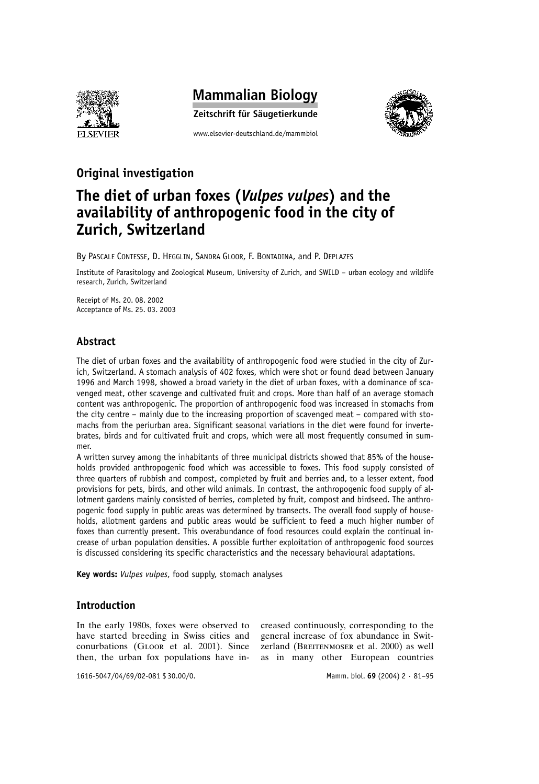

# **Mammalian Biology**

Zeitschrift für Säugetierkunde

www.elsevier-deutschland.de/mammbiol



# Original investigation

# The diet of urban foxes (Vulpes vulpes) and the availability of anthropogenic food in the city of Zurich, Switzerland

By PASCALE CONTESSE, D. HEGGLIN, SANDRA GLOOR, F. BONTADINA, and P. DEPLAZES

Institute of Parasitology and Zoological Museum, University of Zurich, and SWILD - urban ecology and wildlife research, Zurich, Switzerland

Receipt of Ms. 20. 08. 2002 Acceptance of Ms. 25. 03. 2003

# **Abstract**

The diet of urban foxes and the availability of anthropogenic food were studied in the city of Zurich, Switzerland. A stomach analysis of 402 foxes, which were shot or found dead between January 1996 and March 1998, showed a broad variety in the diet of urban foxes, with a dominance of scavenged meat, other scavenge and cultivated fruit and crops. More than half of an average stomach content was anthropogenic. The proportion of anthropogenic food was increased in stomachs from the city centre – mainly due to the increasing proportion of scavenged meat – compared with stomachs from the periurban area. Significant seasonal variations in the diet were found for invertebrates, birds and for cultivated fruit and crops, which were all most frequently consumed in summer.

A written survey among the inhabitants of three municipal districts showed that 85% of the households provided anthropogenic food which was accessible to foxes. This food supply consisted of three quarters of rubbish and compost, completed by fruit and berries and, to a lesser extent, food provisions for pets, birds, and other wild animals. In contrast, the anthropogenic food supply of allotment gardens mainly consisted of berries, completed by fruit, compost and birdseed. The anthropogenic food supply in public areas was determined by transects. The overall food supply of households, allotment gardens and public areas would be sufficient to feed a much higher number of foxes than currently present. This overabundance of food resources could explain the continual increase of urban population densities. A possible further exploitation of anthropogenic food sources is discussed considering its specific characteristics and the necessary behavioural adaptations.

Key words: Vulpes vulpes, food supply, stomach analyses

## **Introduction**

In the early 1980s, foxes were observed to have started breeding in Swiss cities and conurbations (GLOOR et al. 2001). Since then, the urban fox populations have in-

creased continuously, corresponding to the general increase of fox abundance in Switzerland (BREITENMOSER et al. 2000) as well as in many other European countries

1616-5047/04/69/02-081 \$30.00/0.

Mamm. biol. 69 (2004) 2 · 81-95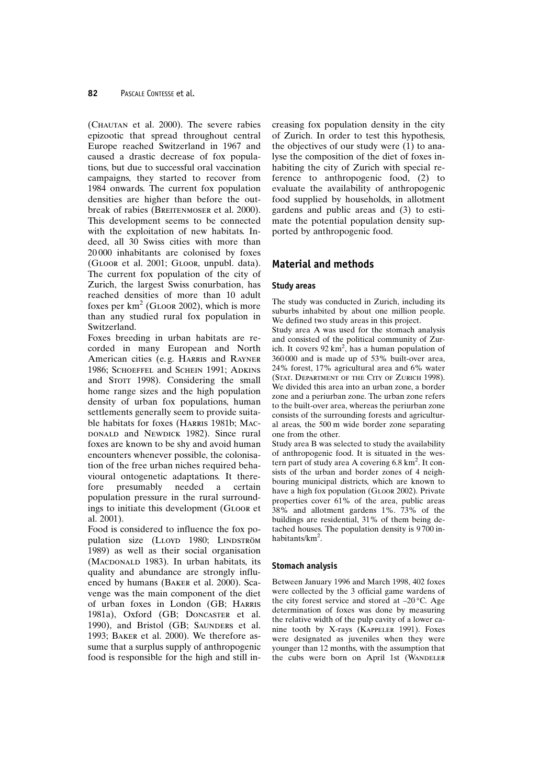(CHAUTAN et al. 2000). The severe rabies epizootic that spread throughout central Europe reached Switzerland in 1967 and caused a drastic decrease of fox populations, but due to successful oral vaccination campaigns, they started to recover from 1984 onwards. The current fox population densities are higher than before the outbreak of rabies (BREITENMOSER et al. 2000). This development seems to be connected with the exploitation of new habitats. Indeed, all 30 Swiss cities with more than 20000 inhabitants are colonised by foxes (GLOOR et al. 2001; GLOOR, unpubl. data). The current fox population of the city of Zurich, the largest Swiss conurbation, has reached densities of more than 10 adult foxes per  $km^2$  (GLOOR 2002), which is more than any studied rural fox population in Switzerland.

Foxes breeding in urban habitats are recorded in many European and North American cities (e.g. HARRIS and RAYNER 1986; SCHOEFFEL and SCHEIN 1991; ADKINS and STOTT 1998). Considering the small home range sizes and the high population density of urban fox populations, human settlements generally seem to provide suitable habitats for foxes (HARRIS 1981b; MAC-DONALD and NEWDICK 1982). Since rural foxes are known to be shy and avoid human encounters whenever possible, the colonisation of the free urban niches required behavioural ontogenetic adaptations. It therepresumably needed certain fore  $\overline{a}$ population pressure in the rural surroundings to initiate this development (GLOOR et al. 2001).

Food is considered to influence the fox population size (LLOYD 1980; LINDSTRÖM 1989) as well as their social organisation (MACDONALD 1983). In urban habitats, its quality and abundance are strongly influenced by humans (BAKER et al. 2000). Scavenge was the main component of the diet of urban foxes in London (GB; HARRIS 1981a), Oxford (GB; DONCASTER et al. 1990), and Bristol (GB; SAUNDERS et al. 1993; BAKER et al. 2000). We therefore assume that a surplus supply of anthropogenic food is responsible for the high and still increasing fox population density in the city of Zurich. In order to test this hypothesis, the objectives of our study were (1) to analyse the composition of the diet of foxes inhabiting the city of Zurich with special reference to anthropogenic food, (2) to evaluate the availability of anthropogenic food supplied by households, in allotment gardens and public areas and (3) to estimate the potential population density supported by anthropogenic food.

# **Material and methods**

#### **Study areas**

The study was conducted in Zurich, including its suburbs inhabited by about one million people. We defined two study areas in this project.

Study area A was used for the stomach analysis and consisted of the political community of Zurich. It covers 92 km<sup>2</sup>, has a human population of 360000 and is made up of 53% built-over area. 24% forest, 17% agricultural area and 6% water (STAT. DEPARTMENT OF THE CITY OF ZURICH 1998). We divided this area into an urban zone, a border zone and a periurban zone. The urban zone refers to the built-over area, whereas the periurban zone consists of the surrounding forests and agricultural areas, the 500 m wide border zone separating one from the other.

Study area B was selected to study the availability of anthropogenic food. It is situated in the western part of study area A covering  $6.8 \text{ km}^2$ . It consists of the urban and border zones of 4 neighbouring municipal districts, which are known to have a high fox population (GLOOR 2002). Private properties cover 61% of the area, public areas 38% and allotment gardens 1%. 73% of the buildings are residential, 31% of them being detached houses. The population density is 9700 inhabitants/km<sup>2</sup>.

#### **Stomach analysis**

Between January 1996 and March 1998, 402 foxes were collected by the 3 official game wardens of the city forest service and stored at  $-20^{\circ}$ C. Age determination of foxes was done by measuring the relative width of the pulp cavity of a lower canine tooth by X-rays (KAPPELER 1991). Foxes were designated as juveniles when they were younger than 12 months, with the assumption that the cubs were born on April 1st (WANDELER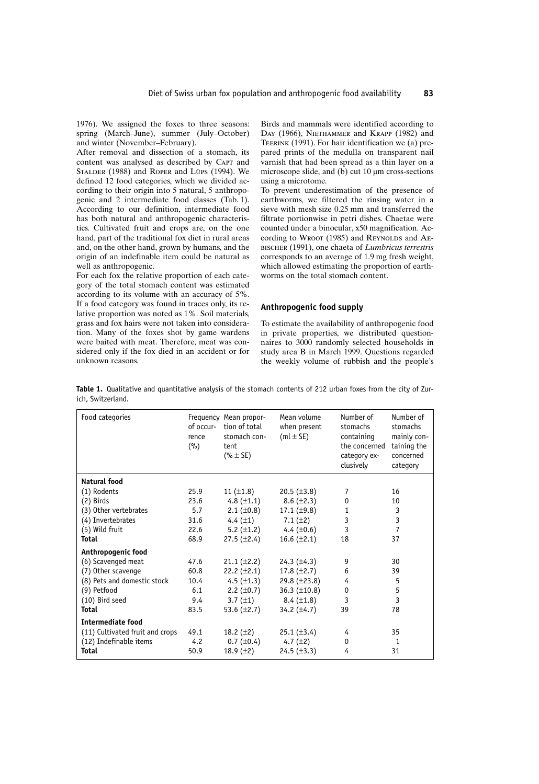1976). We assigned the foxes to three seasons: spring (March-June), summer (July-October) and winter (November-February).

After removal and dissection of a stomach, its content was analysed as described by CAPT and STALDER (1988) and ROPER and LÜPS (1994). We defined 12 food categories, which we divided according to their origin into 5 natural, 5 anthropogenic and 2 intermediate food classes (Tab. 1). According to our definition, intermediate food has both natural and anthropogenic characteristics. Cultivated fruit and crops are, on the one hand, part of the traditional fox diet in rural areas and, on the other hand, grown by humans, and the origin of an indefinable item could be natural as well as anthropogenic.

For each fox the relative proportion of each category of the total stomach content was estimated according to its volume with an accuracy of 5%. If a food category was found in traces only, its relative proportion was noted as 1%. Soil materials, grass and fox hairs were not taken into consideration. Many of the foxes shot by game wardens were baited with meat. Therefore, meat was considered only if the fox died in an accident or for unknown reasons.

Birds and mammals were identified according to DAY (1966), NIETHAMMER and KRAPP (1982) and TEERINK (1991). For hair identification we (a) prepared prints of the medulla on transparent nail varnish that had been spread as a thin layer on a microscope slide, and (b) cut  $10 \mu m$  cross-sections using a microtome.

83

To prevent underestimation of the presence of earthworms, we filtered the rinsing water in a sieve with mesh size 0.25 mm and transferred the filtrate portionwise in petri dishes. Chaetae were counted under a binocular, x50 magnification. According to WROOT (1985) and REYNOLDS and AE-BISCHER (1991), one chaeta of Lumbricus terrestris corresponds to an average of  $1.9$  mg fresh weight, which allowed estimating the proportion of earthworms on the total stomach content

#### Anthropogenic food supply

To estimate the availability of anthropogenic food in private properties, we distributed questionnaires to 3000 randomly selected households in study area B in March 1999. Questions regarded the weekly volume of rubbish and the people's

Table 1. Qualitative and quantitative analysis of the stomach contents of 212 urban foxes from the city of Zurich, Switzerland.

| Food categories                 | of occur-<br>rence<br>(%) | Frequency Mean propor-<br>tion of total<br>stomach con-<br>tent<br>$(% \pm SE)$ | Mean volume<br>when present<br>$(mL \pm SE)$ | Number of<br>stomachs<br>containing<br>the concerned<br>category ex-<br>clusively | Number of<br>stomachs<br>mainly con-<br>taining the<br>concerned<br>category |
|---------------------------------|---------------------------|---------------------------------------------------------------------------------|----------------------------------------------|-----------------------------------------------------------------------------------|------------------------------------------------------------------------------|
| Natural food                    |                           |                                                                                 |                                              |                                                                                   |                                                                              |
| (1) Rodents                     | 25.9                      | 11 $(\pm 1.8)$                                                                  | 20.5 $(\pm 3.8)$                             | 7                                                                                 | 16                                                                           |
| $(2)$ Birds                     | 23.6                      | 4.8 $(\pm 1.1)$                                                                 | $8.6 (\pm 2.3)$                              | 0                                                                                 | 10                                                                           |
| (3) Other vertebrates           | 5.7                       | 2.1 $(\pm 0.8)$                                                                 | 17.1 $(\pm 9.8)$                             | 1                                                                                 | 3                                                                            |
| (4) Invertebrates               | 31.6                      | 4.4 $(\pm 1)$                                                                   | 7.1 $(\pm 2)$                                | 3                                                                                 | 3                                                                            |
| (5) Wild fruit                  | 22.6                      | 5.2 $(\pm 1.2)$                                                                 | 4.4 $(\pm 0.6)$                              | 3                                                                                 | $\overline{7}$                                                               |
| <b>Total</b>                    | 68.9                      | $27.5 (\pm 2.4)$                                                                | 16.6 $(\pm 2.1)$                             | 18                                                                                | 37                                                                           |
| Anthropogenic food              |                           |                                                                                 |                                              |                                                                                   |                                                                              |
| (6) Scavenged meat              | 47.6                      | $21.1 (\pm 2.2)$                                                                | 24.3 $(\pm 4.3)$                             | 9                                                                                 | 30                                                                           |
| (7) Other scavenge              | 60.8                      | 22.2 $(\pm 2.1)$                                                                | 17.8 $(\pm 2.7)$                             | 6                                                                                 | 39                                                                           |
| (8) Pets and domestic stock     | 10.4                      | 4.5 $(\pm 1.3)$                                                                 | 29.8 $(\pm 23.8)$                            | 4                                                                                 | 5                                                                            |
| (9) Petfood                     | 6.1                       | 2.2 $(\pm 0.7)$                                                                 | $36.3 \ (\pm 10.8)$                          | 0                                                                                 | 5                                                                            |
| (10) Bird seed                  | 9.4                       | 3.7 $(\pm 1)$                                                                   | $8.4 (\pm 1.8)$                              | 3                                                                                 | 3                                                                            |
| Total                           | 83.5                      | 53.6 $(\pm 2.7)$                                                                | 34.2 $(\pm 4.7)$                             | 39                                                                                | 78                                                                           |
| Intermediate food               |                           |                                                                                 |                                              |                                                                                   |                                                                              |
| (11) Cultivated fruit and crops | 49.1                      | 18.2 $(\pm 2)$                                                                  | $25.1 (\pm 3.4)$                             | 4                                                                                 | 35                                                                           |
| (12) Indefinable items          | 4.2                       | $0.7 (\pm 0.4)$                                                                 | 4.7 $(\pm 2)$                                | $\mathbf{0}$                                                                      | 1                                                                            |
| Total                           | 50.9                      | 18.9 $(\pm 2)$                                                                  | $24.5 (\pm 3.3)$                             | 4                                                                                 | 31                                                                           |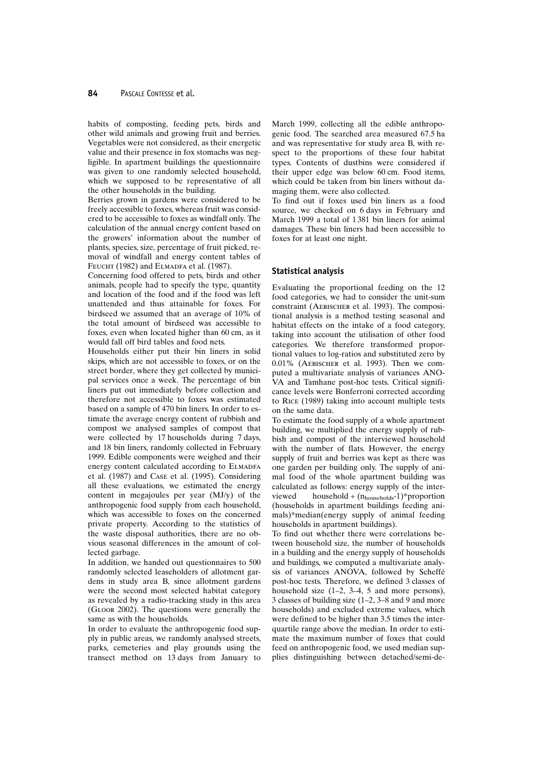habits of composting, feeding pets, birds and other wild animals and growing fruit and berries. Vegetables were not considered, as their energetic value and their presence in fox stomachs was negligible. In apartment buildings the questionnaire was given to one randomly selected household, which we supposed to be representative of all the other households in the building.

Berries grown in gardens were considered to be freely accessible to foxes, whereas fruit was considered to be accessible to foxes as windfall only. The calculation of the annual energy content based on the growers' information about the number of plants, species, size, percentage of fruit picked, removal of windfall and energy content tables of FEUCHT (1982) and ELMADFA et al. (1987).

Concerning food offered to pets, birds and other animals, people had to specify the type, quantity and location of the food and if the food was left unattended and thus attainable for foxes. For birdseed we assumed that an average of 10% of the total amount of birdseed was accessible to foxes, even when located higher than 60 cm, as it would fall off bird tables and food nets.

Households either put their bin liners in solid skips, which are not accessible to foxes, or on the street border, where they get collected by municipal services once a week. The percentage of bin liners put out immediately before collection and therefore not accessible to foxes was estimated based on a sample of 470 bin liners. In order to estimate the average energy content of rubbish and compost we analysed samples of compost that were collected by 17 households during 7 days, and 18 bin liners, randomly collected in February 1999. Edible components were weighed and their energy content calculated according to ELMADFA et al. (1987) and CASE et al. (1995). Considering all these evaluations, we estimated the energy content in megajoules per year (MJ/y) of the anthropogenic food supply from each household, which was accessible to foxes on the concerned private property. According to the statistics of the waste disposal authorities, there are no obvious seasonal differences in the amount of collected garbage.

In addition, we handed out questionnaires to 500 randomly selected leaseholders of allotment gardens in study area B, since allotment gardens were the second most selected habitat category as revealed by a radio-tracking study in this area (GLOOR 2002). The questions were generally the same as with the households.

In order to evaluate the anthropogenic food supply in public areas, we randomly analysed streets, parks, cemeteries and play grounds using the transect method on 13 days from January to

March 1999, collecting all the edible anthropogenic food. The searched area measured 67.5 ha and was representative for study area B, with respect to the proportions of these four habitat types. Contents of dustbins were considered if their upper edge was below 60 cm. Food items, which could be taken from bin liners without damaging them, were also collected.

To find out if foxes used bin liners as a food source, we checked on 6 days in February and March 1999 a total of 1381 bin liners for animal damages. These bin liners had been accessible to foxes for at least one night.

#### **Statistical analysis**

Evaluating the proportional feeding on the 12 food categories, we had to consider the unit-sum constraint (AEBISCHER et al. 1993). The compositional analysis is a method testing seasonal and habitat effects on the intake of a food category, taking into account the utilisation of other food categories. We therefore transformed proportional values to log-ratios and substituted zero by  $0.01\%$  (AEBISCHER et al. 1993). Then we computed a multivariate analysis of variances ANO-VA and Tamhane post-hoc tests. Critical significance levels were Bonferroni corrected according to RICE (1989) taking into account multiple tests on the same data.

To estimate the food supply of a whole apartment building, we multiplied the energy supply of rubbish and compost of the interviewed household with the number of flats. However, the energy supply of fruit and berries was kept as there was one garden per building only. The supply of animal food of the whole apartment building was calculated as follows: energy supply of the interviewed household +  $(n_{\text{households}}-1)$ \*proportion (households in apartment buildings feeding animals)\*median(energy supply of animal feeding households in apartment buildings).

To find out whether there were correlations between household size, the number of households in a building and the energy supply of households and buildings, we computed a multivariate analysis of variances ANOVA, followed by Scheffé post-hoc tests. Therefore, we defined 3 classes of household size  $(1-2, 3-4, 5)$  and more persons), 3 classes of building size  $(1-2, 3-8)$  and 9 and more households) and excluded extreme values, which were defined to be higher than 3.5 times the interquartile range above the median. In order to estimate the maximum number of foxes that could feed on anthropogenic food, we used median supplies distinguishing between detached/semi-de-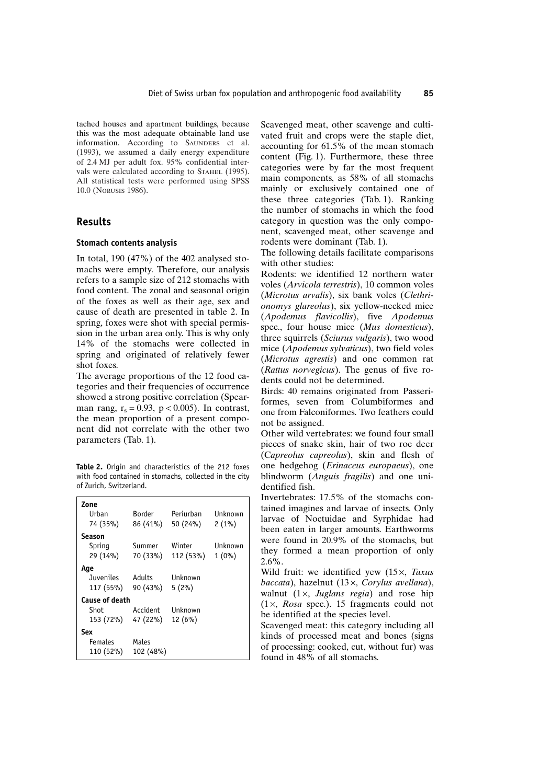tached houses and apartment buildings, because this was the most adequate obtainable land use information. According to SAUNDERS et al. (1993), we assumed a daily energy expenditure of 2.4 MJ per adult fox. 95% confidential intervals were calculated according to STAHEL (1995). All statistical tests were performed using SPSS 10.0 (NORUSIS 1986).

## **Results**

#### **Stomach contents analysis**

In total,  $190$  (47%) of the 402 analysed stomachs were empty. Therefore, our analysis refers to a sample size of 212 stomachs with food content. The zonal and seasonal origin of the foxes as well as their age, sex and cause of death are presented in table 2. In spring, foxes were shot with special permission in the urban area only. This is why only 14% of the stomachs were collected in spring and originated of relatively fewer shot foxes.

The average proportions of the 12 food categories and their frequencies of occurrence showed a strong positive correlation (Spearman rang,  $r_s = 0.93$ ,  $p < 0.005$ ). In contrast, the mean proportion of a present component did not correlate with the other two parameters (Tab. 1).

Table 2. Origin and characteristics of the 212 foxes with food contained in stomachs, collected in the city of Zurich, Switzerland.

| Zone<br>Urban<br>74 (35%)                  | <b>Border</b><br>86 (41%) | Periurhan<br>50 (24%) | Unknown<br>$2(1\%)$        |
|--------------------------------------------|---------------------------|-----------------------|----------------------------|
| Season<br>Spring<br>29 (14%)               | Summer<br>70 (33%)        | Winter<br>112 (53%)   | <b>Unknown</b><br>$1(0\%)$ |
| Aqe<br>Juveniles<br>117 (55%)              | Adults<br>90 (43%)        | Unknown<br>5(2%)      |                            |
| Cause of death<br><b>Shot</b><br>153 (72%) | Accident<br>47 (22%)      | Unknown<br>12(6%)     |                            |
| Sex<br><b>Females</b><br>110 (52%)         | Males<br>102 (48%)        |                       |                            |

Scavenged meat, other scavenge and cultivated fruit and crops were the staple diet, accounting for 61.5% of the mean stomach content (Fig. 1). Furthermore, these three categories were by far the most frequent main components, as 58% of all stomachs mainly or exclusively contained one of these three categories (Tab. 1). Ranking the number of stomachs in which the food category in question was the only component, scavenged meat, other scavenge and rodents were dominant (Tab. 1).

The following details facilitate comparisons with other studies:

Rodents: we identified 12 northern water voles (Arvicola terrestris), 10 common voles (Microtus arvalis), six bank voles (Clethrionomys glareolus), six yellow-necked mice (Apodemus flavicollis), five Apodemus spec., four house mice (Mus domesticus), three squirrels (Sciurus vulgaris), two wood mice (Apodemus sylvaticus), two field voles (Microtus agrestis) and one common rat (Rattus norvegicus). The genus of five rodents could not be determined.

Birds: 40 remains originated from Passeriformes, seven from Columbiformes and one from Falconiformes. Two feathers could not be assigned.

Other wild vertebrates: we found four small pieces of snake skin, hair of two roe deer (Capreolus capreolus), skin and flesh of one hedgehog (Erinaceus europaeus), one blindworm (Anguis fragilis) and one unidentified fish.

Invertebrates: 17.5% of the stomachs contained imagines and larvae of insects. Only larvae of Noctuidae and Syrphidae had been eaten in larger amounts. Earthworms were found in 20.9% of the stomachs, but they formed a mean proportion of only  $2.6\%$ .

Wild fruit: we identified yew  $(15 \times, \text{T}axus)$  $baccata$ ), hazelnut  $(13 \times$ . Corvlus avellana), walnut  $(1 \times, Juglans region)$  and rose hip  $(1 \times, Rosa spec.)$ . 15 fragments could not be identified at the species level.

Scavenged meat: this category including all kinds of processed meat and bones (signs of processing: cooked, cut, without fur) was found in 48% of all stomachs.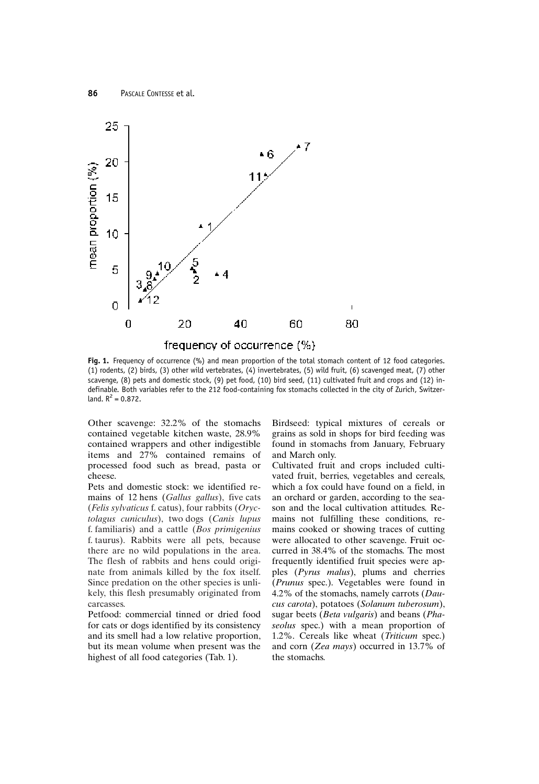

Fig. 1. Frequency of occurrence (%) and mean proportion of the total stomach content of 12 food categories. (1) rodents, (2) birds, (3) other wild vertebrates, (4) invertebrates, (5) wild fruit, (6) scavenged meat, (7) other scavenge, (8) pets and domestic stock, (9) pet food, (10) bird seed, (11) cultivated fruit and crops and (12) indefinable. Both variables refer to the 212 food-containing fox stomachs collected in the city of Zurich, Switzerland.  $R^2 = 0.872$ .

Other scavenge: 32.2% of the stomachs contained vegetable kitchen waste, 28.9% contained wrappers and other indigestible items and 27% contained remains of processed food such as bread, pasta or cheese.

Pets and domestic stock: we identified remains of 12 hens (Gallus gallus), five cats (Felis sylvaticus f. catus), four rabbits (Oryctolagus cuniculus), two dogs (Canis lupus f. familiaris) and a cattle  $(Bos\ primigenius)$ f. taurus). Rabbits were all pets, because there are no wild populations in the area. The flesh of rabbits and hens could originate from animals killed by the fox itself. Since predation on the other species is unlikely, this flesh presumably originated from carcasses.

Petfood: commercial tinned or dried food for cats or dogs identified by its consistency and its smell had a low relative proportion, but its mean volume when present was the highest of all food categories (Tab. 1).

Birdseed: typical mixtures of cereals or grains as sold in shops for bird feeding was found in stomachs from January, February and March only.

Cultivated fruit and crops included cultivated fruit, berries, vegetables and cereals, which a fox could have found on a field, in an orchard or garden, according to the season and the local cultivation attitudes. Remains not fulfilling these conditions, remains cooked or showing traces of cutting were allocated to other scavenge. Fruit occurred in 38.4% of the stomachs. The most frequently identified fruit species were apples (*Pyrus malus*), plums and cherries (*Prunus* spec.). Vegetables were found in 4.2% of the stomachs, namely carrots  $(Dau$ cus carota), potatoes (Solanum tuberosum), sugar beets (Beta vulgaris) and beans (Phaseolus spec.) with a mean proportion of 1.2%. Cereals like wheat (Triticum spec.) and corn (Zea mays) occurred in 13.7% of the stomachs.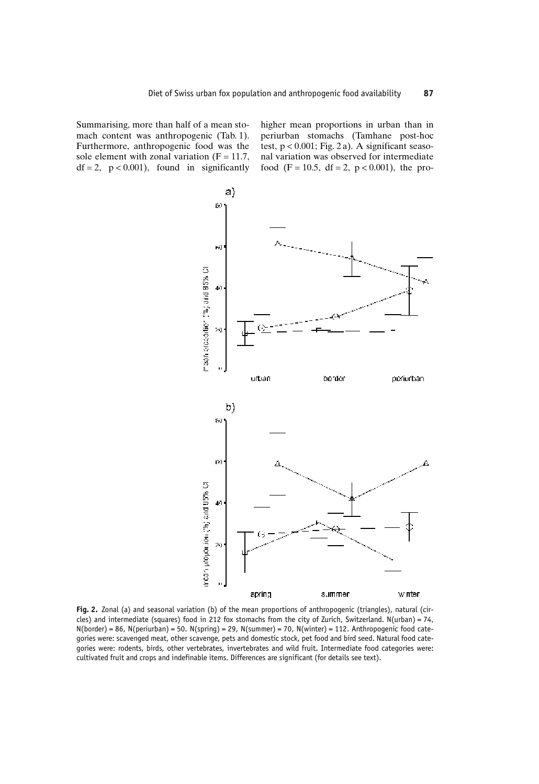Summarising, more than half of a mean stomach content was anthropogenic (Tab. 1). Furthermore, anthropogenic food was the sole element with zonal variation ( $F = 11.7$ ,  $df = 2$ ,  $p < 0.001$ ), found in significantly higher mean proportions in urban than in periurban stomachs (Tamhane post-hoc test,  $p < 0.001$ ; Fig. 2 a). A significant seasonal variation was observed for intermediate food (F = 10.5, df = 2, p < 0.001), the pro-



Fig. 2. Zonal (a) and seasonal variation (b) of the mean proportions of anthropogenic (triangles), natural (circles) and intermediate (squares) food in 212 fox stomachs from the city of Zurich, Switzerland.  $N(urban) = 74$ ,  $N(border) = 86$ ,  $N(periurban) = 50$ .  $N(spring) = 29$ ,  $N(summer) = 70$ ,  $N(winter) = 112$ . Anthropogenic food categories were: scavenged meat, other scavenge, pets and domestic stock, pet food and bird seed. Natural food categories were: rodents, birds, other vertebrates, invertebrates and wild fruit. Intermediate food categories were: cultivated fruit and crops and indefinable items. Differences are significant (for details see text).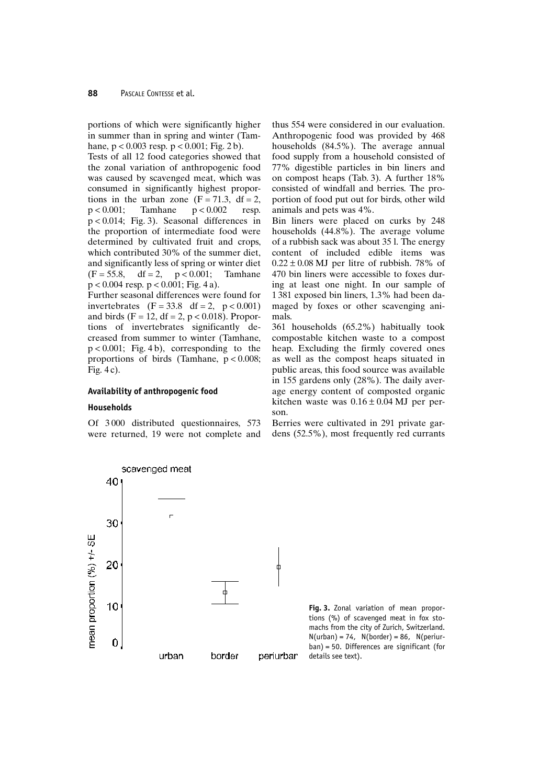portions of which were significantly higher in summer than in spring and winter (Tamhane,  $p < 0.003$  resp.  $p < 0.001$ ; Fig. 2 b).

Tests of all 12 food categories showed that the zonal variation of anthropogenic food was caused by scavenged meat, which was consumed in significantly highest proportions in the urban zone  $(F = 71.3, df = 2,$  $p < 0.001$ ; Tamhane  $p < 0.002$ resp.  $p < 0.014$ ; Fig. 3). Seasonal differences in the proportion of intermediate food were determined by cultivated fruit and crops, which contributed 30% of the summer diet, and significantly less of spring or winter diet  $(F = 55.8,$  $df = 2$ ,  $p < 0.001$ ; Tamhane  $p < 0.004$  resp.  $p < 0.001$ ; Fig. 4 a).

Further seasonal differences were found for invertebrates  $(F = 33.8 \text{ df} = 2, p < 0.001)$ and birds (F = 12, df = 2, p < 0.018). Proportions of invertebrates significantly decreased from summer to winter (Tamhane,  $p < 0.001$ ; Fig. 4b), corresponding to the proportions of birds (Tamhane,  $p < 0.008$ ; Fig.  $4c$ ).

#### Availability of anthropogenic food

scavenged meat

#### **Households**

Of 3000 distributed questionnaires, 573 were returned, 19 were not complete and

thus 554 were considered in our evaluation. Anthropogenic food was provided by 468 households (84.5%). The average annual food supply from a household consisted of 77% digestible particles in bin liners and on compost heaps (Tab. 3). A further 18% consisted of windfall and berries. The proportion of food put out for birds, other wild animals and pets was 4%.

Bin liners were placed on curks by 248 households (44.8%). The average volume of a rubbish sack was about 35 l. The energy content of included edible items was  $0.22 \pm 0.08$  MJ per litre of rubbish. 78% of 470 bin liners were accessible to foxes during at least one night. In our sample of 1381 exposed bin liners, 1.3% had been damaged by foxes or other scavenging animals.

361 households (65.2%) habitually took compostable kitchen waste to a compost heap. Excluding the firmly covered ones as well as the compost heaps situated in public areas, this food source was available in 155 gardens only (28%). The daily average energy content of composted organic kitchen waste was  $0.16 \pm 0.04$  MJ per person.

Berries were cultivated in 291 private gardens  $(52.5\%)$ , most frequently red currants

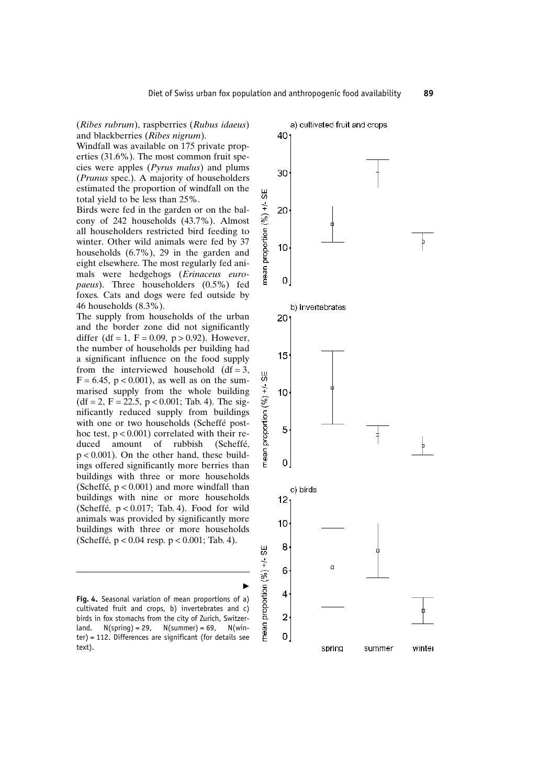(Ribes rubrum), raspberries (Rubus idaeus) and blackberries (Ribes nigrum).

Windfall was available on 175 private properties (31.6%). The most common fruit species were apples (Pyrus malus) and plums (Prunus spec.). A majority of householders estimated the proportion of windfall on the total yield to be less than 25%.

Birds were fed in the garden or on the balcony of 242 households (43.7%). Almost all householders restricted bird feeding to winter. Other wild animals were fed by 37 households  $(6.7\%)$ , 29 in the garden and eight elsewhere. The most regularly fed animals were hedgehogs (Erinaceus euro*paeus*). Three householders (0.5%) fed foxes. Cats and dogs were fed outside by 46 households  $(8.3\%)$ .

The supply from households of the urban and the border zone did not significantly differ (df = 1, F = 0.09, p > 0.92). However, the number of households per building had a significant influence on the food supply from the interviewed household  $(df = 3$ ,  $F = 6.45$ ,  $p < 0.001$ ), as well as on the summarised supply from the whole building  $(df = 2, F = 22.5, p < 0.001; Tab. 4).$  The significantly reduced supply from buildings with one or two households (Scheffé posthoc test,  $p < 0.001$ ) correlated with their reduced amount of rubbish (Scheffé,  $p < 0.001$ ). On the other hand, these buildings offered significantly more berries than buildings with three or more households (Scheffé,  $p < 0.001$ ) and more windfall than buildings with nine or more households (Scheffé,  $p < 0.017$ ; Tab. 4). Food for wild animals was provided by significantly more buildings with three or more households (Scheffé, p < 0.04 resp. p < 0.001; Tab. 4).

Fig. 4. Seasonal variation of mean proportions of a) cultivated fruit and crops, b) invertebrates and c) birds in fox stomachs from the city of Zurich, Switzerland.  $N(spring) = 29$ ,  $N(summer) = 69$ ,  $N(win$  $ter$ ) = 112. Differences are significant (for details see text).



89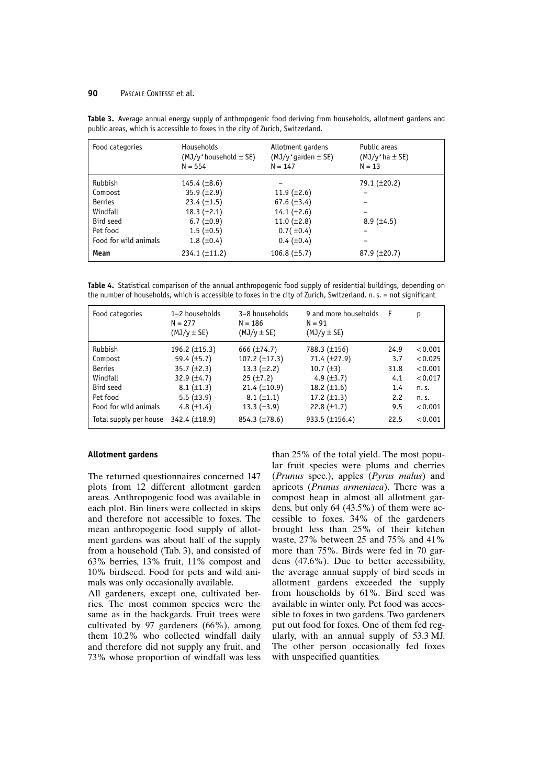#### 90 PASCALE CONTESSE et al.

| Food categories       | Households<br>$(MJ/v^*$ household $\pm$ SE)<br>$N = 554$ | Allotment gardens<br>$(MJ/\gamma^*$ qarden $\pm$ SE)<br>$N = 147$ | Public areas<br>$(MJ/\gamma^*$ ha $\pm$ SE)<br>$N = 13$ |
|-----------------------|----------------------------------------------------------|-------------------------------------------------------------------|---------------------------------------------------------|
| Rubbish               | 145.4 $(\pm 8.6)$                                        |                                                                   | 79.1 (±20.2)                                            |
| Compost               | 35.9 $(\pm 2.9)$                                         | 11.9 $(\pm 2.6)$                                                  |                                                         |
| <b>Berries</b>        | 23.4 $(\pm 1.5)$                                         | 67.6 $(\pm 3.4)$                                                  |                                                         |
| Windfall              | 18.3 $(\pm 2.1)$                                         | 14.1 $(\pm 2.6)$                                                  |                                                         |
| Bird seed             | $6.7 \ (\pm 0.9)$                                        | 11.0 $(\pm 2.8)$                                                  | $8.9 \ (\pm 4.5)$                                       |
| Pet food              | $1.5 \ (\pm 0.5)$                                        | 0.7(±0.4)                                                         |                                                         |
| Food for wild animals | $1.8 \ (\pm 0.4)$                                        | $0.4 \ (\pm 0.4)$                                                 |                                                         |
| Mean                  | $234.1 (\pm 11.2)$                                       | 106.8 $(\pm 5.7)$                                                 | $87.9 \ (\pm 20.7)$                                     |

Table 3. Average annual energy supply of anthropogenic food deriving from households, allotment gardens and public areas, which is accessible to foxes in the city of Zurich, Switzerland.

Table 4. Statistical comparison of the annual anthropogenic food supply of residential buildings, depending on the number of households, which is accessible to foxes in the city of Zurich, Switzerland. n.s. = not significant

| Food categories        | 1-2 households<br>$N = 277$<br>$(MJ/y \pm SE)$ | 3-8 households<br>$N = 186$<br>$(MJ/y \pm SE)$ | 9 and more households<br>$N = 91$<br>$(MJ/y \pm SE)$ | - F  | р       |
|------------------------|------------------------------------------------|------------------------------------------------|------------------------------------------------------|------|---------|
| Rubbish                | 196.2 $(\pm 15.3)$                             | 666 $(\pm 74.7)$                               | 788.3 (±156)                                         | 24.9 | < 0.001 |
| Compost                | 59.4 $(\pm 5.7)$                               | 107.2 $(\pm 17.3)$                             | 71.4 (±27.9)                                         | 3.7  | < 0.025 |
| <b>Berries</b>         | 35.7 $(\pm 2.3)$                               | 13.3 $(\pm 2.2)$                               | 10.7 $(\pm 3)$                                       | 31.8 | < 0.001 |
| Windfall               | 32.9 $(\pm 4.7)$                               | $25 (\pm 7.2)$                                 | 4.9 $(\pm 3.7)$                                      | 4.1  | < 0.017 |
| Bird seed              | $8.1 (\pm 1.3)$                                | 21.4 $(\pm 10.9)$                              | 18.2 $(\pm 1.6)$                                     | 1.4  | n.S.    |
| Pet food               | 5.5 $(\pm 3.9)$                                | $8.1 (\pm 1.1)$                                | 17.2 $(\pm 1.3)$                                     | 2.2  | n.S.    |
| Food for wild animals  | 4.8 $(\pm 1.4)$                                | 13.3 $(\pm 3.9)$                               | 22.8 $(\pm 1.7)$                                     | 9.5  | < 0.001 |
| Total supply per house | 342.4 $(\pm 18.9)$                             | $854.3 (\pm 78.6)$                             | 933.5 (±156.4)                                       | 22.5 | < 0.001 |

#### **Allotment gardens**

The returned questionnaires concerned 147 plots from 12 different allotment garden areas. Anthropogenic food was available in each plot. Bin liners were collected in skips and therefore not accessible to foxes. The mean anthropogenic food supply of allotment gardens was about half of the supply from a household (Tab. 3), and consisted of 63% berries, 13% fruit, 11% compost and 10% birdseed. Food for pets and wild animals was only occasionally available.

All gardeners, except one, cultivated berries. The most common species were the same as in the backgards. Fruit trees were cultivated by 97 gardeners (66%), among them 10.2% who collected windfall daily and therefore did not supply any fruit, and 73% whose proportion of windfall was less

than 25% of the total yield. The most popular fruit species were plums and cherries (Prunus spec.), apples (Pyrus malus) and apricots (Prunus armeniaca). There was a compost heap in almost all allotment gardens, but only 64  $(43.5\%)$  of them were accessible to foxes. 34% of the gardeners brought less than 25% of their kitchen waste, 27% between 25 and 75% and 41% more than 75%. Birds were fed in 70 gardens  $(47.6\%)$ . Due to better accessibility, the average annual supply of bird seeds in allotment gardens exceeded the supply from households by 61%. Bird seed was available in winter only. Pet food was accessible to foxes in two gardens. Two gardeners put out food for foxes. One of them fed regularly, with an annual supply of 53.3 MJ. The other person occasionally fed foxes with unspecified quantities.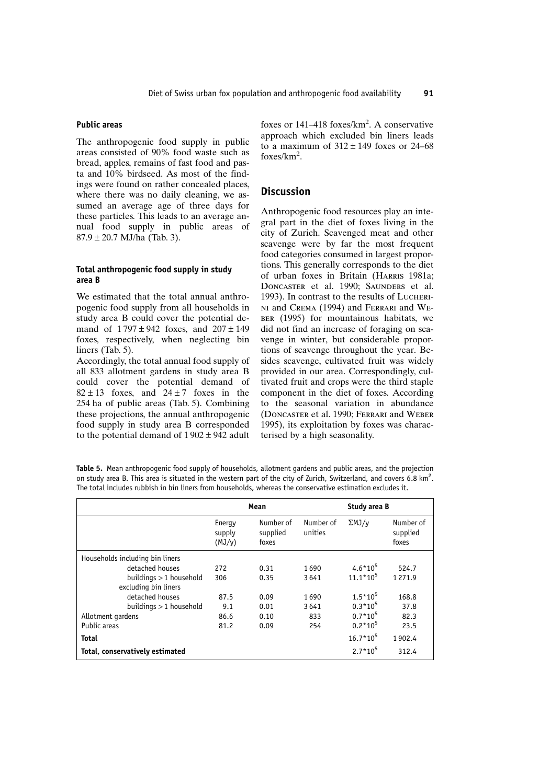#### **Public areas**

The anthropogenic food supply in public areas consisted of 90% food waste such as bread, apples, remains of fast food and pasta and 10% birdseed. As most of the findings were found on rather concealed places, where there was no daily cleaning, we assumed an average age of three days for these particles. This leads to an average annual food supply in public areas of  $87.9 \pm 20.7$  MJ/ha (Tab. 3).

### Total anthropogenic food supply in study area B

We estimated that the total annual anthropogenic food supply from all households in study area B could cover the potential demand of  $1797 \pm 942$  foxes, and  $207 \pm 149$ foxes, respectively, when neglecting bin liners  $(Tab. 5)$ .

Accordingly, the total annual food supply of all 833 allotment gardens in study area B could cover the potential demand of  $82 \pm 13$  foxes, and  $24 \pm 7$  foxes in the 254 ha of public areas (Tab. 5). Combining these projections, the annual anthropogenic food supply in study area B corresponded to the potential demand of  $1902 \pm 942$  adult

foxes or  $141-418$  foxes/km<sup>2</sup>. A conservative approach which excluded bin liners leads to a maximum of  $312 \pm 149$  foxes or 24–68 foxes/ $km^2$ .

# **Discussion**

Anthropogenic food resources play an integral part in the diet of foxes living in the city of Zurich. Scavenged meat and other scavenge were by far the most frequent food categories consumed in largest proportions. This generally corresponds to the diet of urban foxes in Britain (HARRIS 1981a: DONCASTER et al. 1990: SAUNDERS et al. 1993). In contrast to the results of LUCHERI-NI and CREMA (1994) and FERRARI and WE-BER (1995) for mountainous habitats, we did not find an increase of foraging on scavenge in winter, but considerable proportions of scavenge throughout the year. Besides scavenge, cultivated fruit was widely provided in our area. Correspondingly, cultivated fruit and crops were the third staple component in the diet of foxes. According to the seasonal variation in abundance (DONCASTER et al. 1990; FERRARI and WEBER 1995), its exploitation by foxes was characterised by a high seasonality.

Table 5. Mean anthropogenic food supply of households, allotment gardens and public areas, and the projection on study area B. This area is situated in the western part of the city of Zurich, Switzerland, and covers 6.8  $km^2$ . The total includes rubbish in bin liners from households, whereas the conservative estimation excludes it.

|                                 | Mean                           |                                |                      | Study area B  |                                |
|---------------------------------|--------------------------------|--------------------------------|----------------------|---------------|--------------------------------|
|                                 | Energy<br>supply<br>$(MJ/\nu)$ | Number of<br>supplied<br>foxes | Number of<br>unities | $\Sigma$ MJ/v | Number of<br>supplied<br>foxes |
| Households including bin liners |                                |                                |                      |               |                                |
| detached houses                 | 272                            | 0.31                           | 1690                 | $4.6*10^5$    | 524.7                          |
| buildings $>1$ household        | 306                            | 0.35                           | 3641                 | $11.1*105$    | 1271.9                         |
| excluding bin liners            |                                |                                |                      |               |                                |
| detached houses                 | 87.5                           | 0.09                           | 1690                 | $1.5*10^5$    | 168.8                          |
| buildings $>$ 1 household       | 9.1                            | 0.01                           | 3641                 | $0.3*10^5$    | 37.8                           |
| Allotment gardens               | 86.6                           | 0.10                           | 833                  | $0.7*10^5$    | 82.3                           |
| Public areas                    | 81.2                           | 0.09                           | 254                  | $0.2*10^5$    | 23.5                           |
| <b>Total</b>                    |                                |                                |                      | $16.7*10^5$   | 1902.4                         |
| Total, conservatively estimated |                                |                                |                      | $2.7*10^5$    | 312.4                          |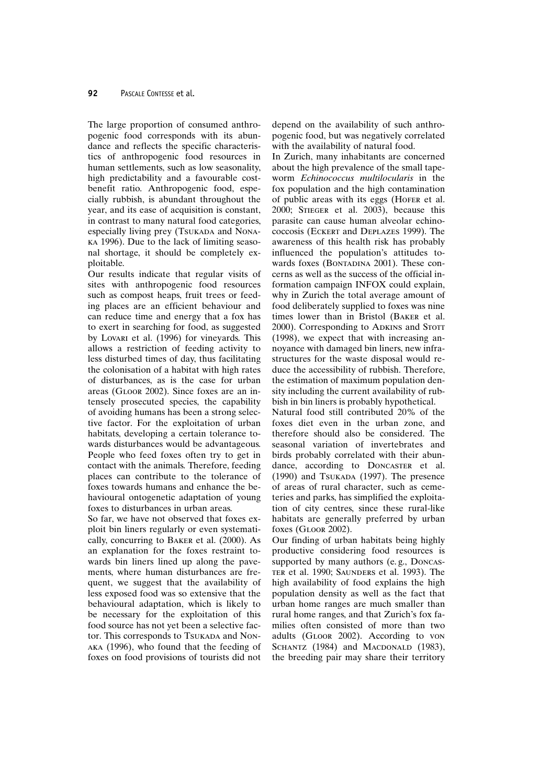The large proportion of consumed anthropogenic food corresponds with its abundance and reflects the specific characteristics of anthropogenic food resources in human settlements, such as low seasonality. high predictability and a favourable costbenefit ratio. Anthropogenic food, especially rubbish, is abundant throughout the year, and its ease of acquisition is constant, in contrast to many natural food categories, especially living prey (TSUKADA and NONA-KA 1996). Due to the lack of limiting seasonal shortage, it should be completely exploitable.

Our results indicate that regular visits of sites with anthropogenic food resources such as compost heaps, fruit trees or feeding places are an efficient behaviour and can reduce time and energy that a fox has to exert in searching for food, as suggested by Lovari et al. (1996) for vineyards. This allows a restriction of feeding activity to less disturbed times of day, thus facilitating the colonisation of a habitat with high rates of disturbances, as is the case for urban areas (GLOOR 2002). Since foxes are an intensely prosecuted species, the capability of avoiding humans has been a strong selective factor. For the exploitation of urban habitats, developing a certain tolerance towards disturbances would be advantageous. People who feed foxes often try to get in contact with the animals. Therefore, feeding places can contribute to the tolerance of foxes towards humans and enhance the behavioural ontogenetic adaptation of young foxes to disturbances in urban areas.

So far, we have not observed that foxes exploit bin liners regularly or even systematically, concurring to BAKER et al. (2000). As an explanation for the foxes restraint towards bin liners lined up along the pavements, where human disturbances are frequent, we suggest that the availability of less exposed food was so extensive that the behavioural adaptation, which is likely to be necessary for the exploitation of this food source has not yet been a selective factor. This corresponds to TSUKADA and Non-AKA (1996), who found that the feeding of foxes on food provisions of tourists did not depend on the availability of such anthropogenic food, but was negatively correlated with the availability of natural food.

In Zurich, many inhabitants are concerned about the high prevalence of the small tapeworm Echinococcus multilocularis in the fox population and the high contamination of public areas with its eggs (HOFER et al. 2000; STIEGER et al. 2003), because this parasite can cause human alveolar echinococcosis (ECKERT and DEPLAZES 1999). The awareness of this health risk has probably influenced the population's attitudes towards foxes (BONTADINA 2001). These concerns as well as the success of the official information campaign INFOX could explain, why in Zurich the total average amount of food deliberately supplied to foxes was nine times lower than in Bristol (BAKER et al. 2000). Corresponding to ADKINS and STOTT (1998), we expect that with increasing annoyance with damaged bin liners, new infrastructures for the waste disposal would reduce the accessibility of rubbish. Therefore, the estimation of maximum population density including the current availability of rubbish in bin liners is probably hypothetical.

Natural food still contributed 20% of the foxes diet even in the urban zone, and therefore should also be considered. The seasonal variation of invertebrates and birds probably correlated with their abundance, according to DONCASTER et al. (1990) and TSUKADA (1997). The presence of areas of rural character, such as cemeteries and parks, has simplified the exploitation of city centres, since these rural-like habitats are generally preferred by urban foxes (GLOOR 2002).

Our finding of urban habitats being highly productive considering food resources is supported by many authors (e.g., DONCAS-TER et al. 1990; SAUNDERS et al. 1993). The high availability of food explains the high population density as well as the fact that urban home ranges are much smaller than rural home ranges, and that Zurich's fox families often consisted of more than two adults (GLOOR 2002). According to von SCHANTZ (1984) and MACDONALD (1983), the breeding pair may share their territory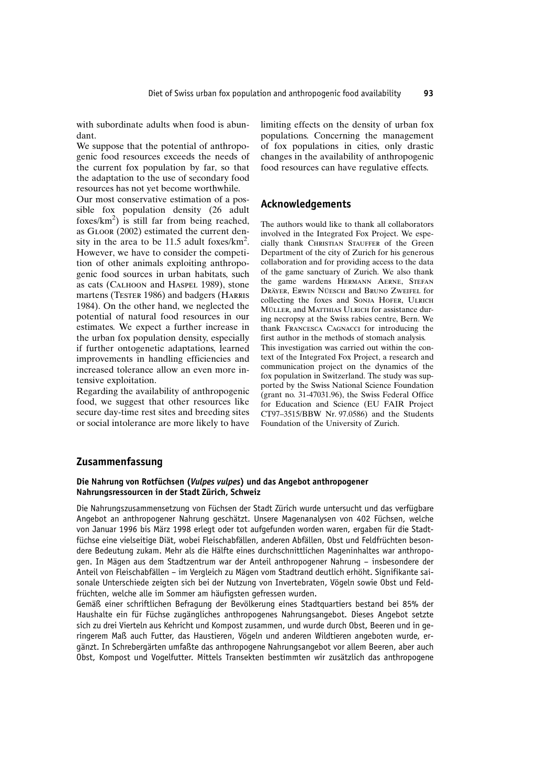with subordinate adults when food is abundant.

We suppose that the potential of anthropogenic food resources exceeds the needs of the current fox population by far, so that the adaptation to the use of secondary food resources has not yet become worthwhile.

Our most conservative estimation of a possible fox population density (26 adult foxes/ $km^2$ ) is still far from being reached, as GLOOR (2002) estimated the current density in the area to be 11.5 adult foxes/ $km^2$ . However, we have to consider the competition of other animals exploiting anthropogenic food sources in urban habitats, such as cats (CALHOON and HASPEL 1989), stone martens (TESTER 1986) and badgers (HARRIS 1984). On the other hand, we neglected the potential of natural food resources in our estimates. We expect a further increase in the urban fox population density, especially if further ontogenetic adaptations, learned improvements in handling efficiencies and increased tolerance allow an even more intensive exploitation.

Regarding the availability of anthropogenic food, we suggest that other resources like secure day-time rest sites and breeding sites or social intolerance are more likely to have

limiting effects on the density of urban fox populations. Concerning the management of fox populations in cities, only drastic changes in the availability of anthropogenic food resources can have regulative effects.

# Acknowledgements

The authors would like to thank all collaborators involved in the Integrated Fox Project. We especially thank CHRISTIAN STAUFFER of the Green Department of the city of Zurich for his generous collaboration and for providing access to the data of the game sanctuary of Zurich. We also thank the game wardens HERMANN AERNE, STEFAN DRÄYER, ERWIN NÜESCH and BRUNO ZWEIFEL for collecting the foxes and SONJA HOFER, ULRICH MÜLLER, and MATTHIAS ULRICH for assistance during necropsy at the Swiss rabies centre, Bern. We thank FRANCESCA CAGNACCI for introducing the first author in the methods of stomach analysis.

This investigation was carried out within the context of the Integrated Fox Project, a research and communication project on the dynamics of the fox population in Switzerland. The study was supported by the Swiss National Science Foundation (grant no. 31-47031.96), the Swiss Federal Office for Education and Science (EU FAIR Project CT97-3515/BBW Nr. 97.0586) and the Students Foundation of the University of Zurich.

# Zusammenfassung

### Die Nahrung von Rotfüchsen (Vulpes vulpes) und das Angebot anthropogener Nahrungsressourcen in der Stadt Zürich, Schweiz

Die Nahrungszusammensetzung von Füchsen der Stadt Zürich wurde untersucht und das verfügbare Angebot an anthropogener Nahrung geschätzt. Unsere Magenanalysen von 402 Füchsen, welche von Januar 1996 bis März 1998 erlegt oder tot aufgefunden worden waren, ergaben für die Stadtfüchse eine vielseitige Diät, wobei Fleischabfällen, anderen Abfällen, Obst und Feldfrüchten besondere Bedeutung zukam. Mehr als die Hälfte eines durchschnittlichen Mageninhaltes war anthropogen. In Mägen aus dem Stadtzentrum war der Anteil anthropogener Nahrung – insbesondere der Anteil von Fleischabfällen - im Vergleich zu Mägen vom Stadtrand deutlich erhöht. Signifikante saisonale Unterschiede zeigten sich bei der Nutzung von Invertebraten, Vögeln sowie Obst und Feldfrüchten, welche alle im Sommer am häufigsten gefressen wurden.

Gemäß einer schriftlichen Befragung der Bevölkerung eines Stadtguartiers bestand bei 85% der Haushalte ein für Füchse zugängliches anthropogenes Nahrungsangebot. Dieses Angebot setzte sich zu drei Vierteln aus Kehricht und Kompost zusammen, und wurde durch Obst, Beeren und in geringerem Maß auch Futter, das Haustieren, Vögeln und anderen Wildtieren angeboten wurde, ergänzt. In Schrebergärten umfaßte das anthropogene Nahrungsangebot vor allem Beeren, aber auch Obst, Kompost und Vogelfutter. Mittels Transekten bestimmten wir zusätzlich das anthropogene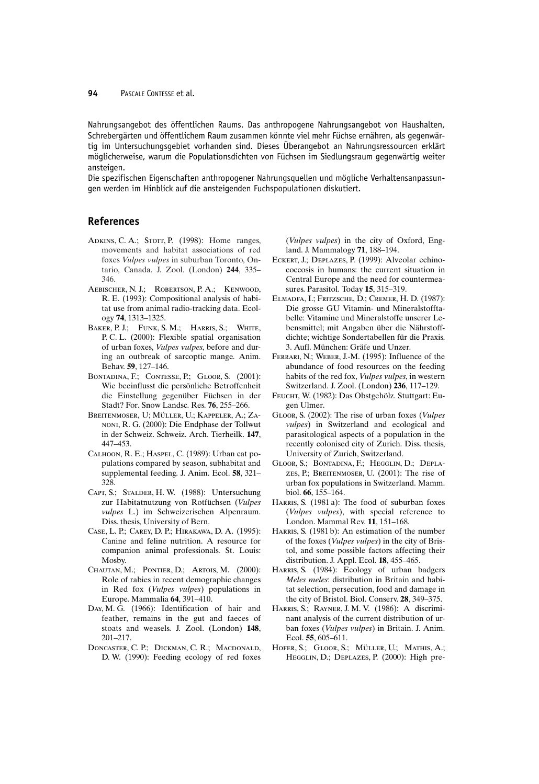#### 94 PASCALE CONTESSE et al.

Nahrungsangebot des öffentlichen Raums. Das anthropogene Nahrungsangebot von Haushalten, Schrebergärten und öffentlichem Raum zusammen könnte viel mehr Füchse ernähren, als gegenwärtig im Untersuchungsgebiet vorhanden sind. Dieses Überangebot an Nahrungsressourcen erklärt möglicherweise, warum die Populationsdichten von Füchsen im Siedlungsraum gegenwärtig weiter ansteigen.

Die spezifischen Eigenschaften anthropogener Nahrungsguellen und mögliche Verhaltensanpassungen werden im Hinblick auf die ansteigenden Fuchspopulationen diskutiert.

# **References**

- ADKINS, C. A.; STOTT, P. (1998): Home ranges, movements and habitat associations of red foxes Vulpes vulpes in suburban Toronto, Ontario, Canada. J. Zool. (London) 244, 335-346.
- AEBISCHER, N. J.; ROBERTSON, P. A.; KENWOOD, R. E. (1993): Compositional analysis of habitat use from animal radio-tracking data. Ecology 74, 1313-1325.
- BAKER, P. J.; FUNK, S. M.; HARRIS, S.; WHITE, P.C.L. (2000): Flexible spatial organisation of urban foxes, Vulpes vulpes, before and during an outbreak of sarcoptic mange. Anim. Behav. 59, 127-146.
- BONTADINA, F.; CONTESSE, P.; GLOOR, S. (2001): Wie beeinflusst die persönliche Betroffenheit die Einstellung gegenüber Füchsen in der Stadt? For. Snow Landsc. Res. 76, 255-266.
- BREITENMOSER, U; MÜLLER, U.; KAPPELER, A.; ZA-NONI, R. G. (2000): Die Endphase der Tollwut in der Schweiz. Schweiz. Arch. Tierheilk. 147, 447-453.
- CALHOON, R. E.; HASPEL, C. (1989): Urban cat populations compared by season, subhabitat and supplemental feeding. J. Anim. Ecol. 58, 321-328.
- CAPT, S.; STALDER, H. W. (1988): Untersuchung zur Habitatnutzung von Rotfüchsen (Vulpes vulpes L.) im Schweizerischen Alpenraum. Diss. thesis, University of Bern.
- CASE, L. P.; CAREY, D. P.; HIRAKAWA, D. A. (1995): Canine and feline nutrition. A resource for companion animal professionals. St. Louis: Mosby.
- CHAUTAN, M.; PONTIER, D.; ARTOIS, M. (2000): Role of rabies in recent demographic changes in Red fox (Vulpes vulpes) populations in Europe. Mammalia 64, 391-410.
- DAY, M. G. (1966): Identification of hair and feather, remains in the gut and faeces of stoats and weasels. J. Zool. (London) 148,  $201 - 217$
- DONCASTER, C. P.: DICKMAN, C. R.: MACDONALD. D.W. (1990): Feeding ecology of red foxes

(Vulpes vulpes) in the city of Oxford, England. J. Mammalogy 71, 188-194.

- ECKERT, J.; DEPLAZES, P. (1999): Alveolar echinococcosis in humans: the current situation in Central Europe and the need for countermeasures. Parasitol. Today 15, 315–319.
- ELMADFA, I.; FRITZSCHE, D.; CREMER, H. D. (1987): Die grosse GU Vitamin- und Mineralstofftabelle: Vitamine und Mineralstoffe unserer Lebensmittel; mit Angaben über die Nährstoffdichte; wichtige Sondertabellen für die Praxis. 3. Aufl. München: Gräfe und Unzer.
- FERRARI, N.; WEBER, J.-M. (1995): Influence of the abundance of food resources on the feeding habits of the red fox, *Vulpes vulpes*, in western Switzerland. J. Zool. (London) 236, 117-129.
- FEUCHT, W. (1982): Das Obstgehölz. Stuttgart: Eugen Ulmer.
- GLOOR, S. (2002): The rise of urban foxes (Vulpes vulpes) in Switzerland and ecological and parasitological aspects of a population in the recently colonised city of Zurich. Diss. thesis, University of Zurich, Switzerland.
- GLOOR, S.; BONTADINA, F.; HEGGLIN, D.; DEPLA-ZES, P.; BREITENMOSER, U. (2001): The rise of urban fox populations in Switzerland. Mamm. biol. 66, 155-164.
- HARRIS, S. (1981a): The food of suburban foxes (Vulpes vulpes), with special reference to London. Mammal Rev. 11, 151-168.
- HARRIS, S. (1981b): An estimation of the number of the foxes (*Vulpes vulpes*) in the city of Bristol, and some possible factors affecting their distribution. J. Appl. Ecol. 18, 455-465.
- HARRIS, S. (1984): Ecology of urban badgers Meles meles: distribution in Britain and habitat selection, persecution, food and damage in the city of Bristol. Biol. Conserv. 28, 349-375.
- HARRIS, S.; RAYNER, J. M. V. (1986): A discriminant analysis of the current distribution of urban foxes (Vulpes vulpes) in Britain. J. Anim. Ecol. 55, 605-611.
- HOFER, S.: GLOOR, S.: MÜLLER, U.: MATHIS, A.: HEGGLIN, D.; DEPLAZES, P. (2000): High pre-